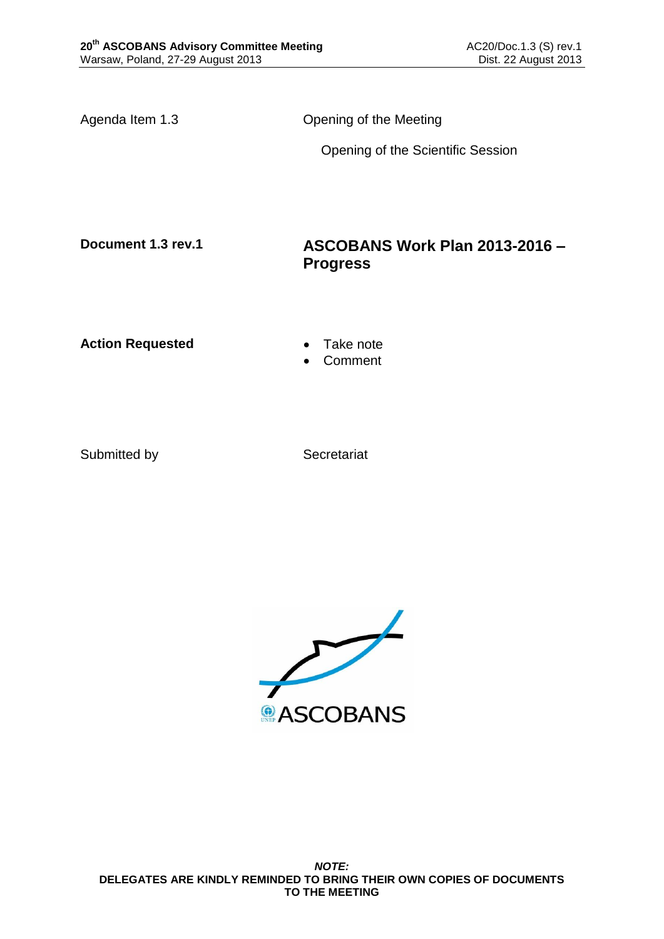Agenda Item 1.3 Opening of the Meeting

Opening of the Scientific Session

### **Document 1.3 rev.1 ASCOBANS Work Plan 2013-2016 – Progress**

Action Requested **Canadian Exercise Action Requested Canadian Exercise** 

Comment

Submitted by Secretariat

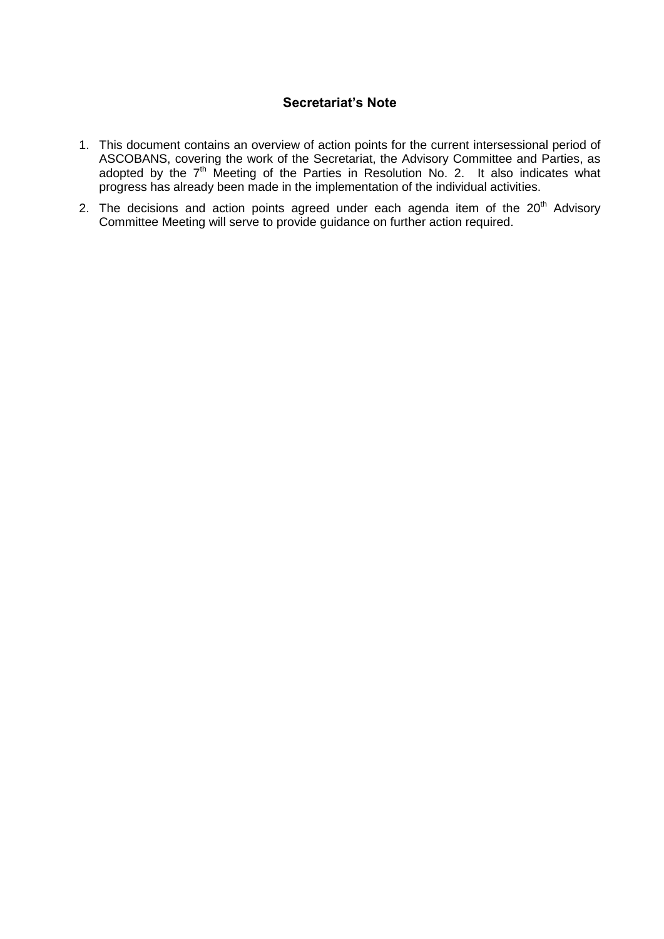#### **Secretariat's Note**

- 1. This document contains an overview of action points for the current intersessional period of ASCOBANS, covering the work of the Secretariat, the Advisory Committee and Parties, as adopted by the  $7<sup>th</sup>$  Meeting of the Parties in Resolution No. 2. It also indicates what progress has already been made in the implementation of the individual activities.
- 2. The decisions and action points agreed under each agenda item of the  $20<sup>th</sup>$  Advisory Committee Meeting will serve to provide guidance on further action required.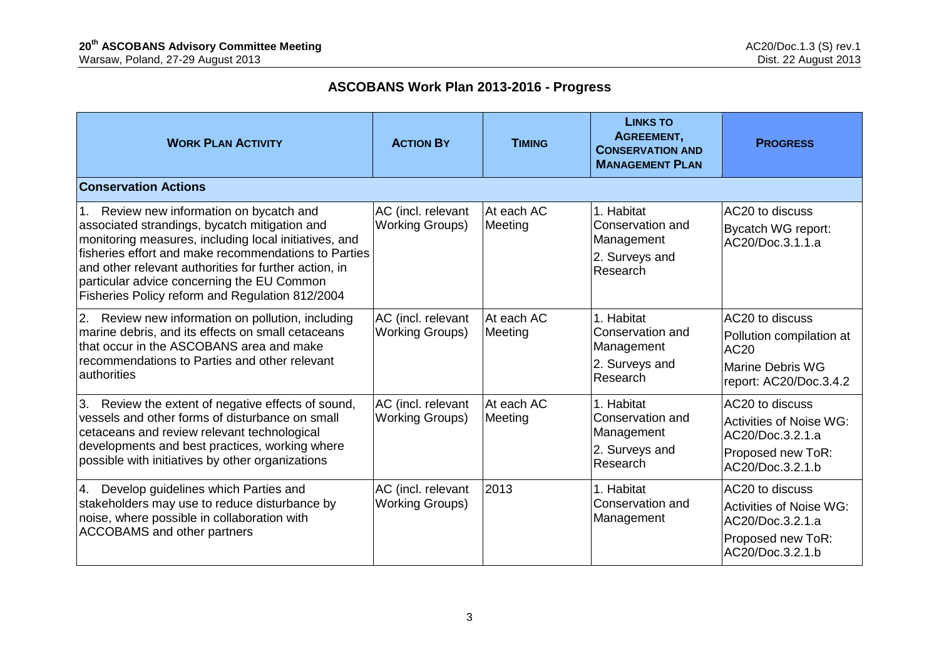# **ASCOBANS Work Plan 2013-2016 - Progress**

| <b>WORK PLAN ACTIVITY</b>                                                                                                                                                                                                                                                                                                                                            | <b>ACTION BY</b>                             | <b>TIMING</b>         | <b>LINKS TO</b><br>AGREEMENT,<br><b>CONSERVATION AND</b><br><b>MANAGEMENT PLAN</b> | <b>PROGRESS</b>                                                                                                |
|----------------------------------------------------------------------------------------------------------------------------------------------------------------------------------------------------------------------------------------------------------------------------------------------------------------------------------------------------------------------|----------------------------------------------|-----------------------|------------------------------------------------------------------------------------|----------------------------------------------------------------------------------------------------------------|
| <b>Conservation Actions</b>                                                                                                                                                                                                                                                                                                                                          |                                              |                       |                                                                                    |                                                                                                                |
| 1. Review new information on bycatch and<br>associated strandings, bycatch mitigation and<br>monitoring measures, including local initiatives, and<br>fisheries effort and make recommendations to Parties<br>and other relevant authorities for further action, in<br>particular advice concerning the EU Common<br>Fisheries Policy reform and Regulation 812/2004 | AC (incl. relevant<br><b>Working Groups)</b> | At each AC<br>Meeting | 1. Habitat<br>Conservation and<br>Management<br>2. Surveys and<br>Research         | AC20 to discuss<br><b>Bycatch WG report:</b><br>AC20/Doc.3.1.1.a                                               |
| Review new information on pollution, including<br> 2.<br>marine debris, and its effects on small cetaceans<br>that occur in the ASCOBANS area and make<br>recommendations to Parties and other relevant<br>authorities                                                                                                                                               | AC (incl. relevant<br><b>Working Groups)</b> | At each AC<br>Meeting | 1. Habitat<br>Conservation and<br>Management<br>2. Surveys and<br>Research         | AC20 to discuss<br>Pollution compilation at<br>AC20<br><b>Marine Debris WG</b><br>report: AC20/Doc.3.4.2       |
| Review the extent of negative effects of sound,<br>3.<br>vessels and other forms of disturbance on small<br>cetaceans and review relevant technological<br>developments and best practices, working where<br>possible with initiatives by other organizations                                                                                                        | AC (incl. relevant<br><b>Working Groups)</b> | At each AC<br>Meeting | 1. Habitat<br>Conservation and<br>Management<br>2. Surveys and<br>Research         | AC20 to discuss<br><b>Activities of Noise WG:</b><br>AC20/Doc.3.2.1.a<br>Proposed new ToR:<br>AC20/Doc.3.2.1.b |
| Develop guidelines which Parties and<br>4.<br>stakeholders may use to reduce disturbance by<br>noise, where possible in collaboration with<br><b>ACCOBAMS</b> and other partners                                                                                                                                                                                     | AC (incl. relevant<br><b>Working Groups)</b> | 2013                  | 1. Habitat<br>Conservation and<br>Management                                       | AC20 to discuss<br><b>Activities of Noise WG:</b><br>AC20/Doc.3.2.1.a<br>Proposed new ToR:<br>AC20/Doc.3.2.1.b |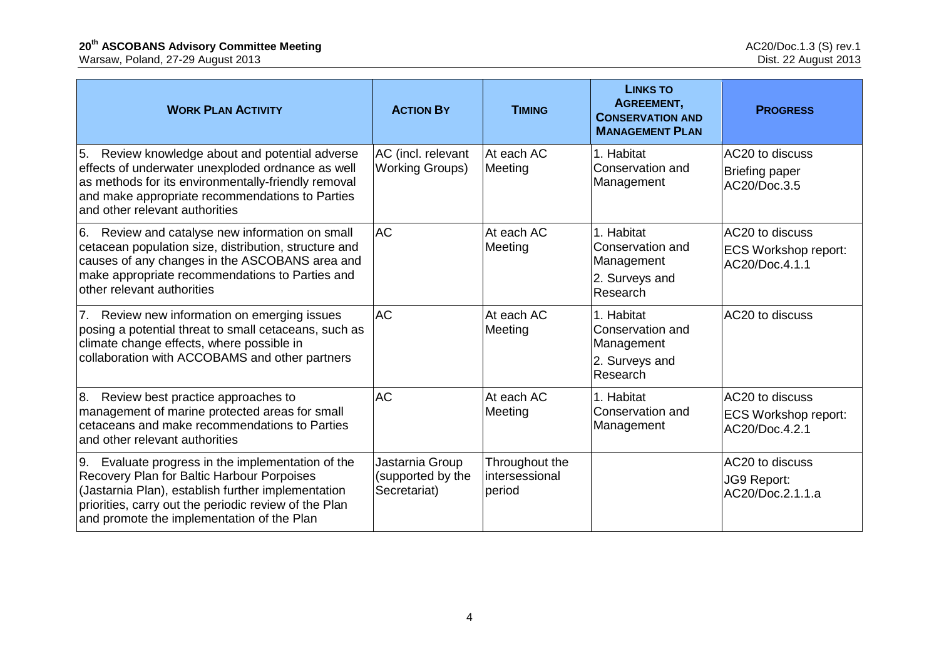| <b>WORK PLAN ACTIVITY</b>                                                                                                                                                                                                                                       | <b>ACTION BY</b>                                     | <b>TIMING</b>                              | <b>LINKS TO</b><br>AGREEMENT,<br><b>CONSERVATION AND</b><br><b>MANAGEMENT PLAN</b> | <b>PROGRESS</b>                                                  |
|-----------------------------------------------------------------------------------------------------------------------------------------------------------------------------------------------------------------------------------------------------------------|------------------------------------------------------|--------------------------------------------|------------------------------------------------------------------------------------|------------------------------------------------------------------|
| Review knowledge about and potential adverse<br>5.<br>effects of underwater unexploded ordnance as well<br>as methods for its environmentally-friendly removal<br>and make appropriate recommendations to Parties<br>and other relevant authorities             | AC (incl. relevant<br><b>Working Groups)</b>         | At each AC<br>Meeting                      | 1. Habitat<br>Conservation and<br>Management                                       | AC20 to discuss<br><b>Briefing paper</b><br>AC20/Doc.3.5         |
| Review and catalyse new information on small<br>6.<br>cetacean population size, distribution, structure and<br>causes of any changes in the ASCOBANS area and<br>make appropriate recommendations to Parties and<br>other relevant authorities                  | <b>AC</b>                                            | At each AC<br>Meeting                      | 1. Habitat<br>Conservation and<br>Management<br>2. Surveys and<br>Research         | AC20 to discuss<br><b>ECS Workshop report:</b><br>AC20/Doc.4.1.1 |
| Review new information on emerging issues<br>7.<br>posing a potential threat to small cetaceans, such as<br>climate change effects, where possible in<br>collaboration with ACCOBAMS and other partners                                                         | <b>AC</b>                                            | At each AC<br>Meeting                      | 1. Habitat<br>Conservation and<br>Management<br>2. Surveys and<br>Research         | AC20 to discuss                                                  |
| Review best practice approaches to<br>8.<br>management of marine protected areas for small<br>cetaceans and make recommendations to Parties<br>and other relevant authorities                                                                                   | <b>AC</b>                                            | At each AC<br>Meeting                      | 1. Habitat<br>Conservation and<br>Management                                       | AC20 to discuss<br>ECS Workshop report:<br>AC20/Doc.4.2.1        |
| Evaluate progress in the implementation of the<br>9.<br>Recovery Plan for Baltic Harbour Porpoises<br>(Jastarnia Plan), establish further implementation<br>priorities, carry out the periodic review of the Plan<br>and promote the implementation of the Plan | Jastarnia Group<br>(supported by the<br>Secretariat) | Throughout the<br>intersessional<br>period |                                                                                    | AC20 to discuss<br>JG9 Report:<br>AC20/Doc.2.1.1.a               |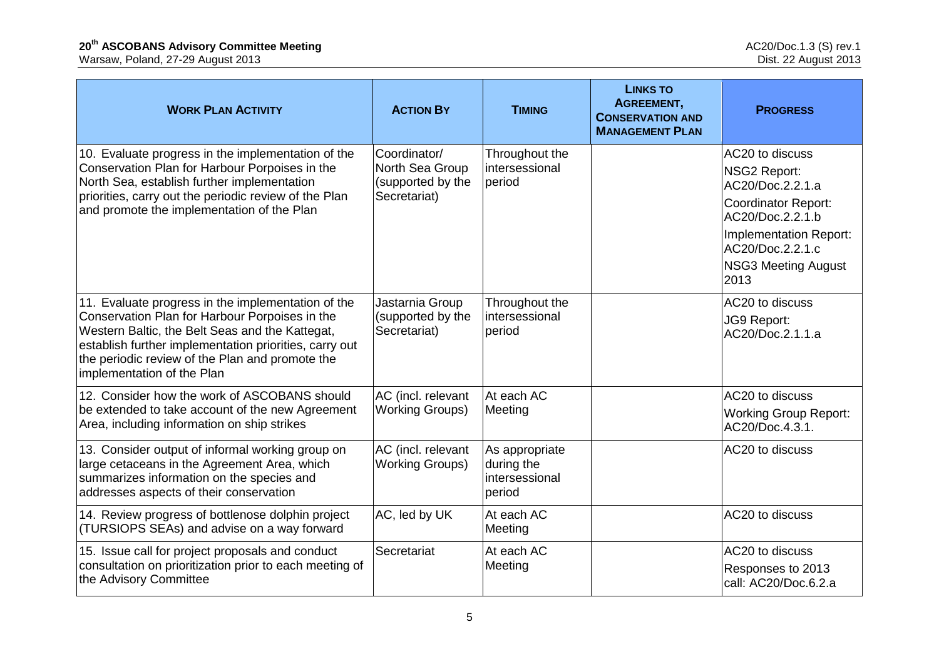| <b>WORK PLAN ACTIVITY</b>                                                                                                                                                                                                                                                                          | <b>ACTION BY</b>                                                     | <b>TIMING</b>                                            | <b>LINKS TO</b><br>AGREEMENT,<br><b>CONSERVATION AND</b><br><b>MANAGEMENT PLAN</b> | <b>PROGRESS</b>                                                                                                                                                                                  |
|----------------------------------------------------------------------------------------------------------------------------------------------------------------------------------------------------------------------------------------------------------------------------------------------------|----------------------------------------------------------------------|----------------------------------------------------------|------------------------------------------------------------------------------------|--------------------------------------------------------------------------------------------------------------------------------------------------------------------------------------------------|
| 10. Evaluate progress in the implementation of the<br>Conservation Plan for Harbour Porpoises in the<br>North Sea, establish further implementation<br>priorities, carry out the periodic review of the Plan<br>and promote the implementation of the Plan                                         | Coordinator/<br>North Sea Group<br>(supported by the<br>Secretariat) | Throughout the<br>intersessional<br>period               |                                                                                    | AC20 to discuss<br><b>NSG2 Report:</b><br>AC20/Doc.2.2.1.a<br><b>Coordinator Report:</b><br>AC20/Doc.2.2.1.b<br>Implementation Report:<br>AC20/Doc.2.2.1.c<br><b>NSG3 Meeting August</b><br>2013 |
| 11. Evaluate progress in the implementation of the<br>Conservation Plan for Harbour Porpoises in the<br>Western Baltic, the Belt Seas and the Kattegat,<br>establish further implementation priorities, carry out<br>the periodic review of the Plan and promote the<br>implementation of the Plan | Jastarnia Group<br>(supported by the<br>Secretariat)                 | Throughout the<br>intersessional<br>period               |                                                                                    | AC20 to discuss<br>JG9 Report:<br>AC20/Doc.2.1.1.a                                                                                                                                               |
| 12. Consider how the work of ASCOBANS should<br>be extended to take account of the new Agreement<br>Area, including information on ship strikes                                                                                                                                                    | AC (incl. relevant<br><b>Working Groups)</b>                         | At each AC<br>Meeting                                    |                                                                                    | AC20 to discuss<br><b>Working Group Report:</b><br>AC20/Doc.4.3.1.                                                                                                                               |
| 13. Consider output of informal working group on<br>large cetaceans in the Agreement Area, which<br>summarizes information on the species and<br>addresses aspects of their conservation                                                                                                           | AC (incl. relevant<br><b>Working Groups)</b>                         | As appropriate<br>during the<br>intersessional<br>period |                                                                                    | AC20 to discuss                                                                                                                                                                                  |
| 14. Review progress of bottlenose dolphin project<br>(TURSIOPS SEAs) and advise on a way forward                                                                                                                                                                                                   | AC, led by UK                                                        | At each AC<br>Meeting                                    |                                                                                    | AC20 to discuss                                                                                                                                                                                  |
| 15. Issue call for project proposals and conduct<br>consultation on prioritization prior to each meeting of<br>the Advisory Committee                                                                                                                                                              | Secretariat                                                          | At each AC<br>Meeting                                    |                                                                                    | AC20 to discuss<br>Responses to 2013<br>call: AC20/Doc.6.2.a                                                                                                                                     |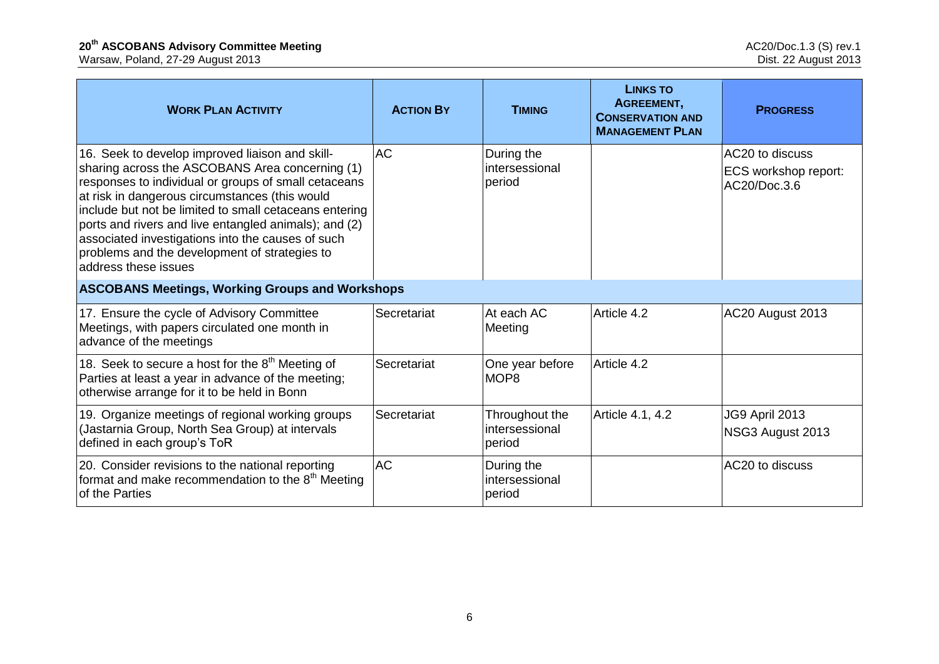| <b>WORK PLAN ACTIVITY</b>                                                                                                                                                                                                                                                                                                                                                                                                                                     | <b>ACTION BY</b> | <b>TIMING</b>                              | <b>LINKS TO</b><br>AGREEMENT,<br><b>CONSERVATION AND</b><br><b>MANAGEMENT PLAN</b> | <b>PROGRESS</b>                                         |  |
|---------------------------------------------------------------------------------------------------------------------------------------------------------------------------------------------------------------------------------------------------------------------------------------------------------------------------------------------------------------------------------------------------------------------------------------------------------------|------------------|--------------------------------------------|------------------------------------------------------------------------------------|---------------------------------------------------------|--|
| 16. Seek to develop improved liaison and skill-<br>sharing across the ASCOBANS Area concerning (1)<br>responses to individual or groups of small cetaceans<br>at risk in dangerous circumstances (this would<br>include but not be limited to small cetaceans entering<br>ports and rivers and live entangled animals); and (2)<br>associated investigations into the causes of such<br>problems and the development of strategies to<br>address these issues | <b>AC</b>        | During the<br>intersessional<br>period     |                                                                                    | AC20 to discuss<br>ECS workshop report:<br>AC20/Doc.3.6 |  |
| <b>ASCOBANS Meetings, Working Groups and Workshops</b>                                                                                                                                                                                                                                                                                                                                                                                                        |                  |                                            |                                                                                    |                                                         |  |
| 17. Ensure the cycle of Advisory Committee<br>Meetings, with papers circulated one month in<br>advance of the meetings                                                                                                                                                                                                                                                                                                                                        | Secretariat      | At each AC<br>Meeting                      | Article 4.2                                                                        | AC20 August 2013                                        |  |
| 18. Seek to secure a host for the $8th$ Meeting of<br>Parties at least a year in advance of the meeting;<br>otherwise arrange for it to be held in Bonn                                                                                                                                                                                                                                                                                                       | Secretariat      | One year before<br>MOP <sub>8</sub>        | Article 4.2                                                                        |                                                         |  |
| 19. Organize meetings of regional working groups<br>(Jastarnia Group, North Sea Group) at intervals<br>defined in each group's ToR                                                                                                                                                                                                                                                                                                                            | Secretariat      | Throughout the<br>intersessional<br>period | Article 4.1, 4.2                                                                   | JG9 April 2013<br>NSG3 August 2013                      |  |
| 20. Consider revisions to the national reporting<br>format and make recommendation to the 8 <sup>th</sup> Meeting<br>of the Parties                                                                                                                                                                                                                                                                                                                           | <b>AC</b>        | During the<br>intersessional<br>period     |                                                                                    | AC20 to discuss                                         |  |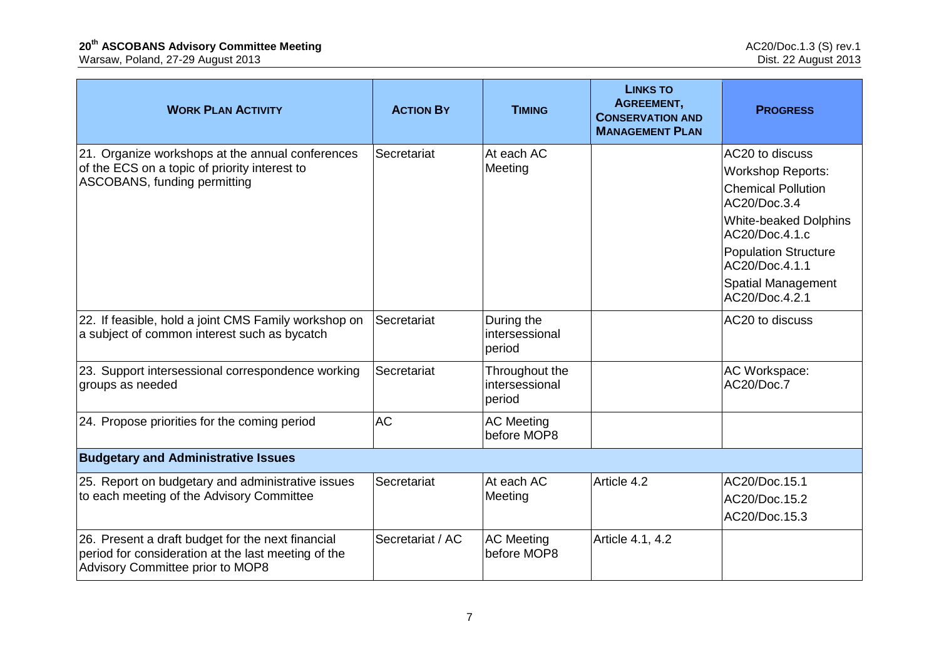| <b>WORK PLAN ACTIVITY</b>                                                                                                                    | <b>ACTION BY</b> | <b>TIMING</b>                              | <b>LINKS TO</b><br>AGREEMENT,<br><b>CONSERVATION AND</b><br><b>MANAGEMENT PLAN</b> | <b>PROGRESS</b>                                |
|----------------------------------------------------------------------------------------------------------------------------------------------|------------------|--------------------------------------------|------------------------------------------------------------------------------------|------------------------------------------------|
| 21. Organize workshops at the annual conferences                                                                                             | Secretariat      | At each AC                                 |                                                                                    | AC20 to discuss                                |
| of the ECS on a topic of priority interest to<br>ASCOBANS, funding permitting                                                                |                  | Meeting                                    |                                                                                    | <b>Workshop Reports:</b>                       |
|                                                                                                                                              |                  |                                            |                                                                                    | <b>Chemical Pollution</b><br>AC20/Doc.3.4      |
|                                                                                                                                              |                  |                                            |                                                                                    | <b>White-beaked Dolphins</b><br>AC20/Doc.4.1.c |
|                                                                                                                                              |                  |                                            |                                                                                    | <b>Population Structure</b><br>AC20/Doc.4.1.1  |
|                                                                                                                                              |                  |                                            |                                                                                    | <b>Spatial Management</b><br>AC20/Doc.4.2.1    |
| 22. If feasible, hold a joint CMS Family workshop on<br>a subject of common interest such as bycatch                                         | Secretariat      | During the<br>intersessional<br>period     |                                                                                    | AC20 to discuss                                |
| 23. Support intersessional correspondence working<br>groups as needed                                                                        | Secretariat      | Throughout the<br>intersessional<br>period |                                                                                    | AC Workspace:<br>AC20/Doc.7                    |
| 24. Propose priorities for the coming period                                                                                                 | <b>AC</b>        | <b>AC Meeting</b><br>before MOP8           |                                                                                    |                                                |
| <b>Budgetary and Administrative Issues</b>                                                                                                   |                  |                                            |                                                                                    |                                                |
| 25. Report on budgetary and administrative issues                                                                                            | Secretariat      | At each AC                                 | Article 4.2                                                                        | AC20/Doc.15.1                                  |
| to each meeting of the Advisory Committee                                                                                                    |                  | Meeting                                    |                                                                                    | AC20/Doc.15.2                                  |
|                                                                                                                                              |                  |                                            |                                                                                    | AC20/Doc.15.3                                  |
| 26. Present a draft budget for the next financial<br>period for consideration at the last meeting of the<br>Advisory Committee prior to MOP8 | Secretariat / AC | <b>AC Meeting</b><br>before MOP8           | Article 4.1, 4.2                                                                   |                                                |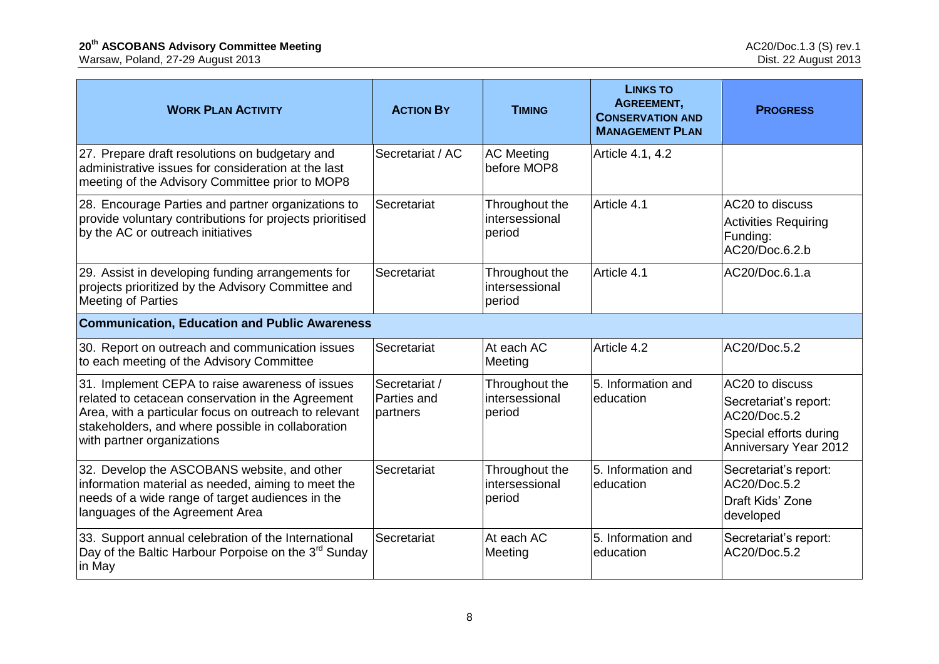| <b>WORK PLAN ACTIVITY</b>                                                                                                                                                                                                                        | <b>ACTION BY</b>                         | <b>TIMING</b>                              | <b>LINKS TO</b><br>AGREEMENT,<br><b>CONSERVATION AND</b><br><b>MANAGEMENT PLAN</b> | <b>PROGRESS</b>                                                                                             |  |
|--------------------------------------------------------------------------------------------------------------------------------------------------------------------------------------------------------------------------------------------------|------------------------------------------|--------------------------------------------|------------------------------------------------------------------------------------|-------------------------------------------------------------------------------------------------------------|--|
| 27. Prepare draft resolutions on budgetary and<br>administrative issues for consideration at the last<br>meeting of the Advisory Committee prior to MOP8                                                                                         | Secretariat / AC                         | <b>AC Meeting</b><br>before MOP8           | Article 4.1, 4.2                                                                   |                                                                                                             |  |
| 28. Encourage Parties and partner organizations to<br>provide voluntary contributions for projects prioritised<br>by the AC or outreach initiatives                                                                                              | Secretariat                              | Throughout the<br>intersessional<br>period | Article 4.1                                                                        | AC20 to discuss<br><b>Activities Requiring</b><br>Funding:<br>AC20/Doc.6.2.b                                |  |
| 29. Assist in developing funding arrangements for<br>projects prioritized by the Advisory Committee and<br><b>Meeting of Parties</b>                                                                                                             | Secretariat                              | Throughout the<br>intersessional<br>period | Article 4.1                                                                        | AC20/Doc.6.1.a                                                                                              |  |
| <b>Communication, Education and Public Awareness</b>                                                                                                                                                                                             |                                          |                                            |                                                                                    |                                                                                                             |  |
| 30. Report on outreach and communication issues<br>to each meeting of the Advisory Committee                                                                                                                                                     | Secretariat                              | At each AC<br>Meeting                      | Article 4.2                                                                        | AC20/Doc.5.2                                                                                                |  |
| 31. Implement CEPA to raise awareness of issues<br>related to cetacean conservation in the Agreement<br>Area, with a particular focus on outreach to relevant<br>stakeholders, and where possible in collaboration<br>with partner organizations | Secretariat /<br>Parties and<br>partners | Throughout the<br>intersessional<br>period | 5. Information and<br>education                                                    | AC20 to discuss<br>Secretariat's report:<br>AC20/Doc.5.2<br>Special efforts during<br>Anniversary Year 2012 |  |
| 32. Develop the ASCOBANS website, and other<br>information material as needed, aiming to meet the<br>needs of a wide range of target audiences in the<br>languages of the Agreement Area                                                         | Secretariat                              | Throughout the<br>intersessional<br>period | 5. Information and<br>education                                                    | Secretariat's report:<br>AC20/Doc.5.2<br>Draft Kids' Zone<br>developed                                      |  |
| 33. Support annual celebration of the International<br>Day of the Baltic Harbour Porpoise on the 3 <sup>rd</sup> Sunday<br>in May                                                                                                                | Secretariat                              | At each AC<br>Meeting                      | 5. Information and<br>education                                                    | Secretariat's report:<br>AC20/Doc.5.2                                                                       |  |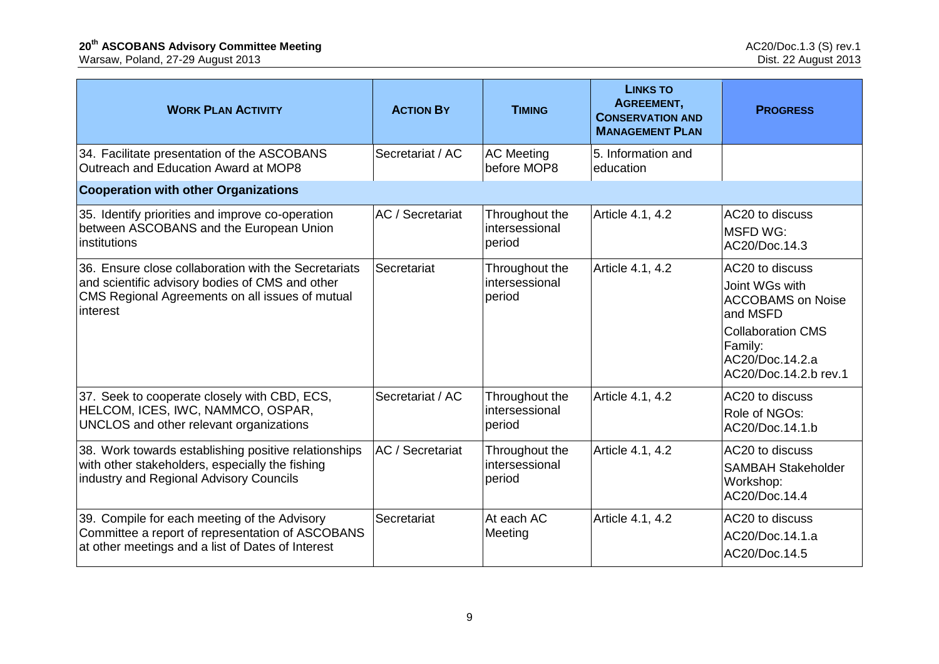| <b>WORK PLAN ACTIVITY</b>                                                                                                                                              | <b>ACTION BY</b> | <b>TIMING</b>                              | <b>LINKS TO</b><br>AGREEMENT,<br><b>CONSERVATION AND</b><br><b>MANAGEMENT PLAN</b> | <b>PROGRESS</b>                                                                                                                                              |
|------------------------------------------------------------------------------------------------------------------------------------------------------------------------|------------------|--------------------------------------------|------------------------------------------------------------------------------------|--------------------------------------------------------------------------------------------------------------------------------------------------------------|
| 34. Facilitate presentation of the ASCOBANS<br>Outreach and Education Award at MOP8                                                                                    | Secretariat / AC | <b>AC Meeting</b><br>before MOP8           | 5. Information and<br>education                                                    |                                                                                                                                                              |
| <b>Cooperation with other Organizations</b>                                                                                                                            |                  |                                            |                                                                                    |                                                                                                                                                              |
| 35. Identify priorities and improve co-operation<br>between ASCOBANS and the European Union<br>institutions                                                            | AC / Secretariat | Throughout the<br>intersessional<br>period | Article 4.1, 4.2                                                                   | AC20 to discuss<br><b>MSFD WG:</b><br>AC20/Doc.14.3                                                                                                          |
| 36. Ensure close collaboration with the Secretariats<br>and scientific advisory bodies of CMS and other<br>CMS Regional Agreements on all issues of mutual<br>interest | Secretariat      | Throughout the<br>intersessional<br>period | Article 4.1, 4.2                                                                   | AC20 to discuss<br>Joint WGs with<br><b>ACCOBAMS</b> on Noise<br>and MSFD<br><b>Collaboration CMS</b><br>Family:<br>AC20/Doc.14.2.a<br>AC20/Doc.14.2.b rev.1 |
| 37. Seek to cooperate closely with CBD, ECS,<br>HELCOM, ICES, IWC, NAMMCO, OSPAR,<br>UNCLOS and other relevant organizations                                           | Secretariat / AC | Throughout the<br>intersessional<br>period | Article 4.1, 4.2                                                                   | AC20 to discuss<br>Role of NGOs:<br>AC20/Doc.14.1.b                                                                                                          |
| 38. Work towards establishing positive relationships<br>with other stakeholders, especially the fishing<br>industry and Regional Advisory Councils                     | AC / Secretariat | Throughout the<br>intersessional<br>period | Article 4.1, 4.2                                                                   | AC20 to discuss<br><b>SAMBAH Stakeholder</b><br>Workshop:<br>AC20/Doc.14.4                                                                                   |
| 39. Compile for each meeting of the Advisory<br>Committee a report of representation of ASCOBANS<br>at other meetings and a list of Dates of Interest                  | Secretariat      | At each AC<br>Meeting                      | Article 4.1, 4.2                                                                   | AC20 to discuss<br>AC20/Doc.14.1.a<br>AC20/Doc.14.5                                                                                                          |